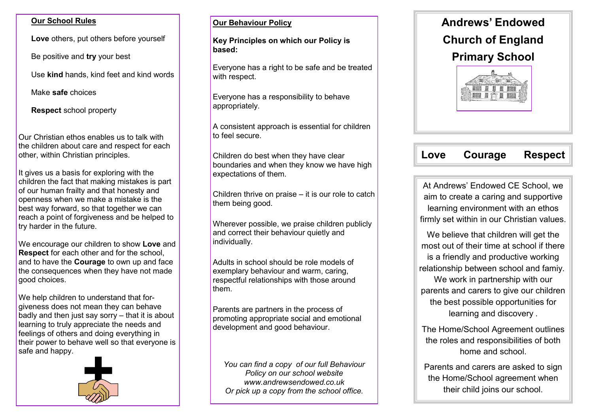#### **Our School Rules**

**Love** others, put others before yourself

Be positive and **try** your best

Use **kind** hands, kind feet and kind words

Make **safe** choices

**Respect** school property

Our Christian ethos enables us to talk with the children about care and respect for each other, within Christian principles.

It gives us a basis for exploring with the children the fact that making mistakes is part of our human frailty and that honesty and openness when we make a mistake is the best way forward, so that together we can reach a point of forgiveness and be helped to try harder in the future.

We encourage our children to show **Love** and **Respect** for each other and for the school, and to have the **Courage** to own up and face the consequences when they have not made good choices.

We help children to understand that forgiveness does not mean they can behave badly and then just say sorry – that it is about learning to truly appreciate the needs and feelings of others and doing everything in their power to behave well so that everyone is safe and happy.



#### **Our Behaviour Policy**

**Key Principles on which our Policy is based:** 

Everyone has a right to be safe and be treated with respect.

Everyone has a responsibility to behave appropriately.

A consistent approach is essential for children to feel secure.

Children do best when they have clear boundaries and when they know we have high expectations of them.

Children thrive on praise – it is our role to catch them being good.

Wherever possible, we praise children publicly and correct their behaviour quietly and individually.

Adults in school should be role models of exemplary behaviour and warm, caring, respectful relationships with those around them.

Parents are partners in the process of promoting appropriate social and emotional development and good behaviour.

*You can find a copy of our full Behaviour Policy on our school website www.andrewsendowed.co.uk Or pick up a copy from the school office.*



# **Love Courage Respect**

At Andrews' Endowed CE School, we aim to create a caring and supportive learning environment with an ethos firmly set within in our Christian values.

We believe that children will get the most out of their time at school if there is a friendly and productive working relationship between school and famiy. We work in partnership with our parents and carers to give our children the best possible opportunities for learning and discovery .

The Home/School Agreement outlines the roles and responsibilities of both home and school.

Parents and carers are asked to sign the Home/School agreement when their child joins our school.